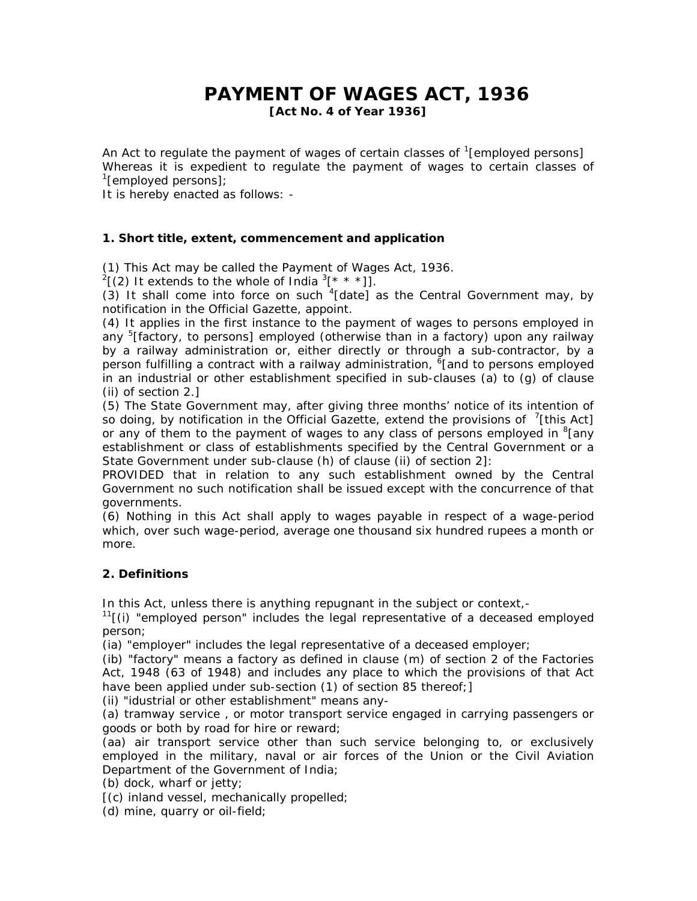# **PAYMENT OF WAGES ACT, 1936 [Act No. 4 of Year 1936]**

An Act to regulate the payment of wages of certain classes of *<sup>1</sup> [employed persons]* Whereas it is expedient to regulate the payment of wages to certain classes of 1 [employed persons];

It is hereby enacted as follows: -

### **1. Short title, extent, commencement and application**

(1) This Act may be called the Payment of Wages Act, 1936.

 $2[(2)$  It extends to the whole of India  $3[x * * ]]$ .

(3) It shall come into force on such  $^4$ [date] as the Central Government may, by notification in the Official Gazette, appoint.

(4) It applies in the first instance to the payment of wages to persons employed in any <sup>5</sup>[factory, to persons] employed (otherwise than in a factory) upon any railway by a railway administration or, either directly or through a sub-contractor, by a person fulfilling a contract with a railway administration,  $6$ [and to persons employed in an industrial or other establishment specified in sub-clauses (a) to (g) of clause (ii) of section 2.]

(5) The State Government may, after giving three months' notice of its intention of so doing, by notification in the Official Gazette, extend the provisions of  $7$ [this Act] or any of them to the payment of wages to any class of persons employed in <sup>8</sup>[any establishment or class of establishments specified by the Central Government or a State Government under sub-clause (h) of clause (ii) of section 2]:

PROVIDED that in relation to any such establishment owned by the Central Government no such notification shall be issued except with the concurrence of that governments.

(6) Nothing in this Act shall apply to wages payable in respect of a wage-period which, over such wage-period, average one thousand six hundred rupees a month or more.

#### **2. Definitions**

In this Act, unless there is anything repugnant in the subject or context,-

 $11$ [(i) "employed person" includes the legal representative of a deceased employed person;

(ia) "employer" includes the legal representative of a deceased employer;

(ib) "factory" means a factory as defined in clause (m) of section 2 of the Factories Act, 1948 (63 of 1948) and includes any place to which the provisions of that Act have been applied under sub-section (1) of section 85 thereof; ]

(ii) "idustrial or other establishment" means any-

(a) tramway service , or motor transport service engaged in carrying passengers or goods or both by road for hire or reward;

(aa) air transport service other than such service belonging to, or exclusively employed in the military, naval or air forces of the Union or the Civil Aviation Department of the Government of India;

(b) dock, wharf or jetty;

[(c) inland vessel, mechanically propelled;

(d) mine, quarry or oil-field;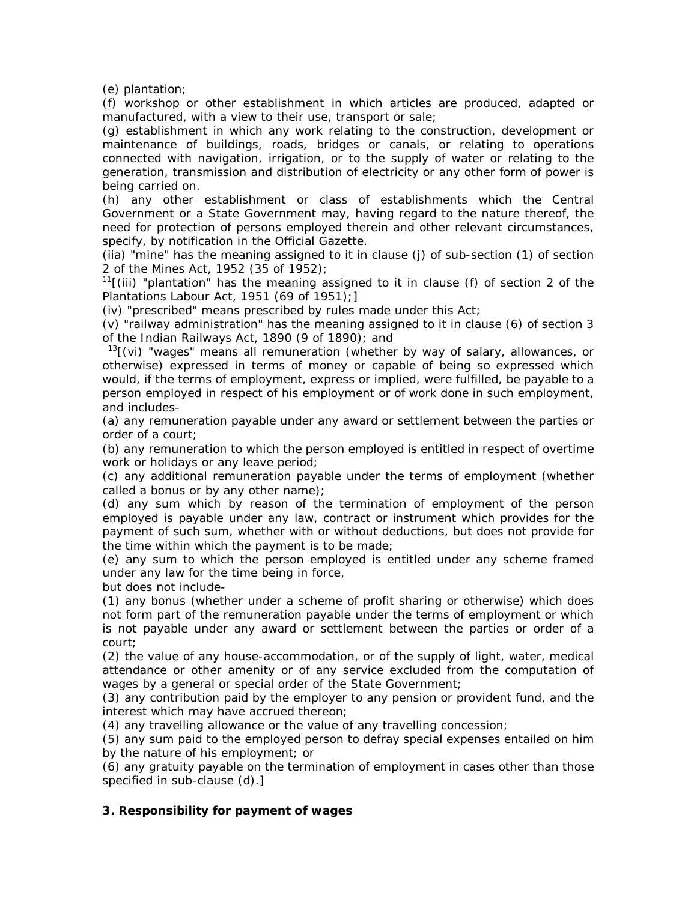(e) plantation;

(f) workshop or other establishment in which articles are produced, adapted or manufactured, with a view to their use, transport or sale;

(g) establishment in which any work relating to the construction, development or maintenance of buildings, roads, bridges or canals, or relating to operations connected with navigation, irrigation, or to the supply of water or relating to the generation, transmission and distribution of electricity or any other form of power is being carried on.

(h) any other establishment or class of establishments which the Central Government or a State Government may, having regard to the nature thereof, the need for protection of persons employed therein and other relevant circumstances, specify, by notification in the Official Gazette.

(iia) "mine" has the meaning assigned to it in clause (j) of sub-section (1) of section 2 of the Mines Act, 1952 (35 of 1952);

 $11$ [(iii) "plantation" has the meaning assigned to it in clause (f) of section 2 of the Plantations Labour Act, 1951 (69 of 1951);]

(iv) "prescribed" means prescribed by rules made under this Act;

(v) "railway administration" has the meaning assigned to it in clause (6) of section 3 of the Indian Railways Act, 1890 (9 of 1890); and

 $13$ [(vi) "wages" means all remuneration (whether by way of salary, allowances, or otherwise) expressed in terms of money or capable of being so expressed which would, if the terms of employment, express or implied, were fulfilled, be payable to a person employed in respect of his employment or of work done in such employment, and includes-

(a) any remuneration payable under any award or settlement between the parties or order of a court;

(b) any remuneration to which the person employed is entitled in respect of overtime work or holidays or any leave period;

(c) any additional remuneration payable under the terms of employment (whether called a bonus or by any other name);

(d) any sum which by reason of the termination of employment of the person employed is payable under any law, contract or instrument which provides for the payment of such sum, whether with or without deductions, but does not provide for the time within which the payment is to be made;

(e) any sum to which the person employed is entitled under any scheme framed under any law for the time being in force,

but does not include-

(1) any bonus (whether under a scheme of profit sharing or otherwise) which does not form part of the remuneration payable under the terms of employment or which is not payable under any award or settlement between the parties or order of a court;

(2) the value of any house-accommodation, or of the supply of light, water, medical attendance or other amenity or of any service excluded from the computation of wages by a general or special order of the State Government;

(3) any contribution paid by the employer to any pension or provident fund, and the interest which may have accrued thereon;

(4) any travelling allowance or the value of any travelling concession;

(5) any sum paid to the employed person to defray special expenses entailed on him by the nature of his employment; or

(6) any gratuity payable on the termination of employment in cases other than those specified in sub-clause (d).]

#### **3. Responsibility for payment of wages**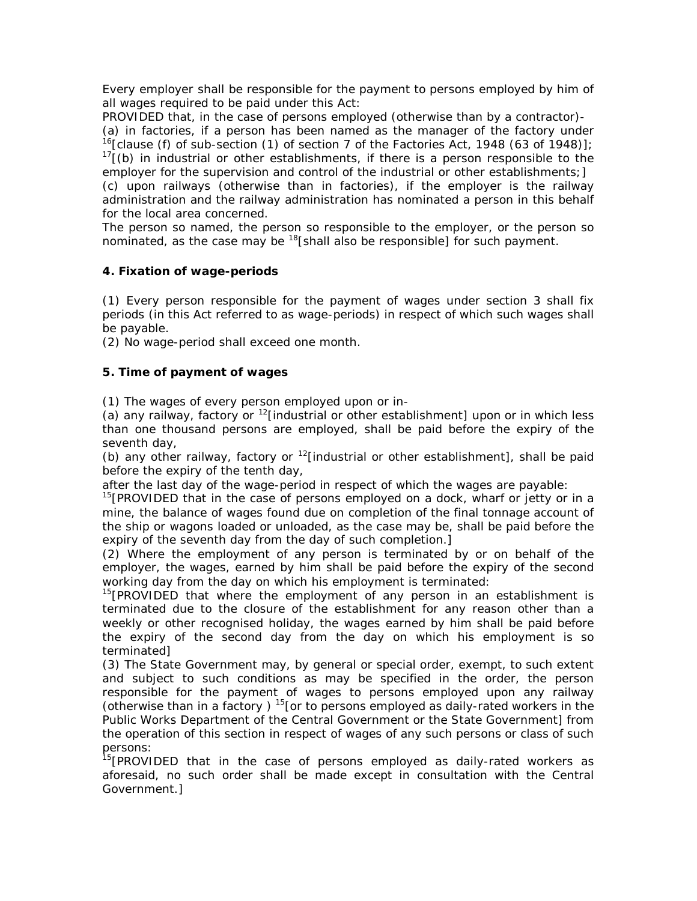Every employer shall be responsible for the payment to persons employed by him of all wages required to be paid under this Act:

PROVIDED that, in the case of persons employed (otherwise than by a contractor)- (a) in factories, if a person has been named as the manager of the factory under <sup>16</sup>[clause (f) of sub-section (1) of section 7 of the Factories Act, 1948 (63 of 1948)];  $17$ [(b) in industrial or other establishments, if there is a person responsible to the employer for the supervision and control of the industrial or other establishments;] (c) upon railways (otherwise than in factories), if the employer is the railway administration and the railway administration has nominated a person in this behalf for the local area concerned.

The person so named, the person so responsible to the employer, or the person so nominated, as the case may be  $^{18}$ [shall also be responsible] for such payment.

### **4. Fixation of wage-periods**

(1) Every person responsible for the payment of wages under section 3 shall fix periods (in this Act referred to as wage-periods) in respect of which such wages shall be payable.

(2) No wage-period shall exceed one month.

# **5. Time of payment of wages**

(1) The wages of every person employed upon or in-

(a) any railway, factory or  $12$ [industrial or other establishment] upon or in which less than one thousand persons are employed, shall be paid before the expiry of the seventh day,

(b) any other railway, factory or  $^{12}$ [industrial or other establishment], shall be paid before the expiry of the tenth day,

after the last day of the wage-period in respect of which the wages are payable:

 $15$ [PROVIDED that in the case of persons employed on a dock, wharf or jetty or in a mine, the balance of wages found due on completion of the final tonnage account of the ship or wagons loaded or unloaded, as the case may be, shall be paid before the expiry of the seventh day from the day of such completion.]

(2) Where the employment of any person is terminated by or on behalf of the employer, the wages, earned by him shall be paid before the expiry of the second working day from the day on which his employment is terminated:

<sup>15</sup>[PROVIDED that where the employment of any person in an establishment is terminated due to the closure of the establishment for any reason other than a weekly or other recognised holiday, the wages earned by him shall be paid before the expiry of the second day from the day on which his employment is so terminated]

(3) The State Government may, by general or special order, exempt, to such extent and subject to such conditions as may be specified in the order, the person responsible for the payment of wages to persons employed upon any railway (otherwise than in a factory)  $15$  [or to persons employed as daily-rated workers in the Public Works Department of the Central Government or the State Government] from the operation of this section in respect of wages of any such persons or class of such persons:

<sup>15</sup>[PROVIDED that in the case of persons employed as daily-rated workers as aforesaid, no such order shall be made except in consultation with the Central Government.]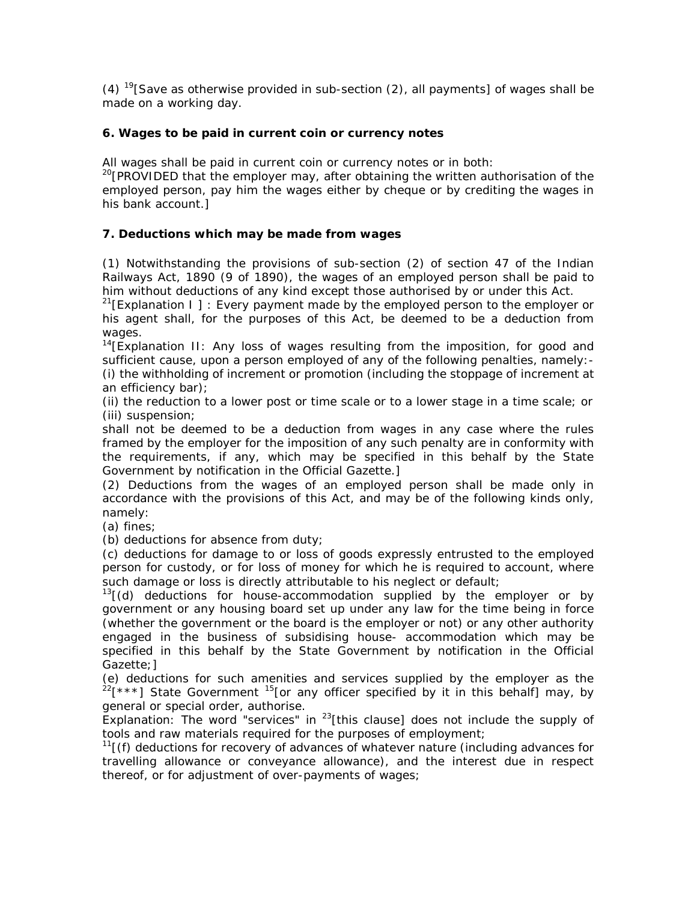(4)  $^{19}$ [Save as otherwise provided in sub-section (2), all payments] of wages shall be made on a working day.

### **6. Wages to be paid in current coin or currency notes**

All wages shall be paid in current coin or currency notes or in both:

<sup>20</sup>[PROVIDED that the employer may, after obtaining the written authorisation of the employed person, pay him the wages either by cheque or by crediting the wages in his bank account.]

### **7. Deductions which may be made from wages**

(1) Notwithstanding the provisions of sub-section (2) of section 47 of the Indian Railways Act, 1890 (9 of 1890), the wages of an employed person shall be paid to him without deductions of any kind except those authorised by or under this Act.

<sup>21</sup> [Explanation I ] : Every payment made by the employed person to the employer or his agent shall, for the purposes of this Act, be deemed to be a deduction from wages.

<sup>14</sup> *[Explanation II:* Any loss of wages resulting from the imposition, for good and sufficient cause, upon a person employed of any of the following penalties, namely:- (i) the withholding of increment or promotion (including the stoppage of increment at an efficiency bar);

(ii) the reduction to a lower post or time scale or to a lower stage in a time scale; or (iii) suspension;

shall not be deemed to be a deduction from wages in any case where the rules framed by the employer for the imposition of any such penalty are in conformity with the requirements, if any, which may be specified in this behalf by the State Government by notification in the Official Gazette.]

(2) Deductions from the wages of an employed person shall be made only in accordance with the provisions of this Act, and may be of the following kinds only, namely:

(a) fines;

(b) deductions for absence from duty;

(c) deductions for damage to or loss of goods expressly entrusted to the employed person for custody, or for loss of money for which he is required to account, where such damage or loss is directly attributable to his neglect or default;

 $13$ [(d) deductions for house-accommodation supplied by the employer or by government or any housing board set up under any law for the time being in force (whether the government or the board is the employer or not) or any other authority engaged in the business of subsidising house- accommodation which may be specified in this behalf by the State Government by notification in the Official Gazette;]

(e) deductions for such amenities and services supplied by the employer as the  $22[x**]$  State Government  $15$  [or any officer specified by it in this behalf] may, by general or special order, authorise.

*Explanation:* The word "services" in <sup>23</sup>[this clause] does not include the supply of tools and raw materials required for the purposes of employment;

 $11$ [(f) deductions for recovery of advances of whatever nature (including advances for travelling allowance or conveyance allowance), and the interest due in respect thereof, or for adjustment of over-payments of wages;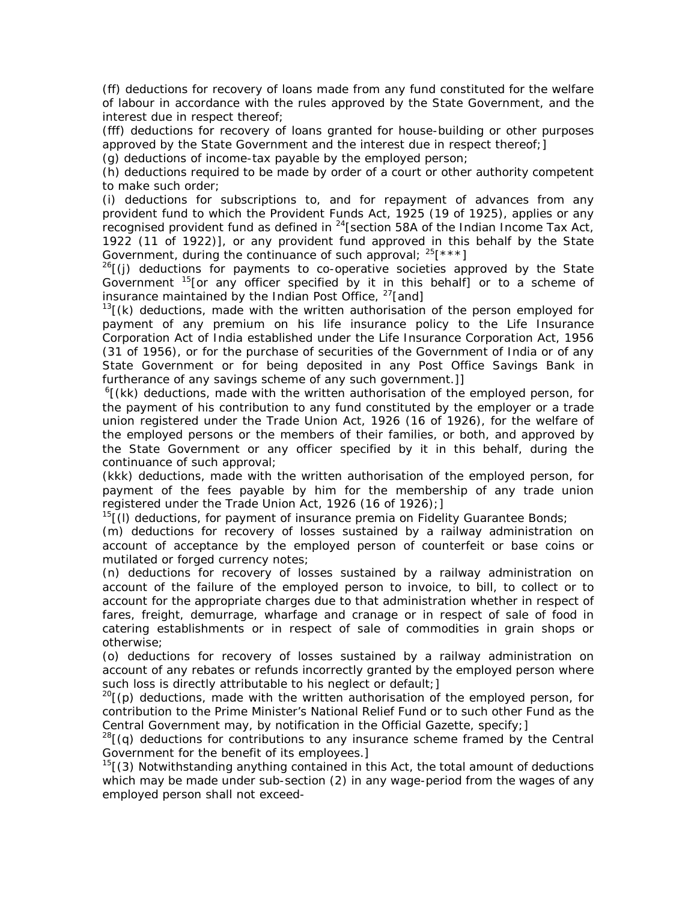(ff) deductions for recovery of loans made from any fund constituted for the welfare of labour in accordance with the rules approved by the State Government, and the interest due in respect thereof;

(fff) deductions for recovery of loans granted for house-building or other purposes approved by the State Government and the interest due in respect thereof;]

(g) deductions of income-tax payable by the employed person;

(h) deductions required to be made by order of a court or other authority competent to make such order;

(i) deductions for subscriptions to, and for repayment of advances from any provident fund to which the Provident Funds Act, 1925 (19 of 1925), applies or any recognised provident fund as defined in  $^{24}$ [section 58A of the Indian Income Tax Act, 1922 (11 of 1922)], or any provident fund approved in this behalf by the State Government, during the continuance of such approval;  $^{25}[***]$ 

 $^{26}$ [(j) deductions for payments to co-operative societies approved by the State Government <sup>15</sup>[or any officer specified by it in this behalf] or to a scheme of insurance maintained by the Indian Post Office,  $27$ [and]

 $13$ [(k) deductions, made with the written authorisation of the person employed for payment of any premium on his life insurance policy to the Life Insurance Corporation Act of India established under the Life Insurance Corporation Act, 1956 (31 of 1956), or for the purchase of securities of the Government of India or of any State Government or for being deposited in any Post Office Savings Bank in furtherance of any savings scheme of any such government.]]

 $<sup>6</sup>$ [(kk) deductions, made with the written authorisation of the employed person, for</sup> the payment of his contribution to any fund constituted by the employer or a trade union registered under the Trade Union Act, 1926 (16 of 1926), for the welfare of the employed persons or the members of their families, or both, and approved by the State Government or any officer specified by it in this behalf, during the continuance of such approval;

(kkk) deductions, made with the written authorisation of the employed person, for payment of the fees payable by him for the membership of any trade union registered under the Trade Union Act, 1926 (16 of 1926);]

 $15$ [(I) deductions, for payment of insurance premia on Fidelity Guarantee Bonds;

(m) deductions for recovery of losses sustained by a railway administration on account of acceptance by the employed person of counterfeit or base coins or mutilated or forged currency notes;

(n) deductions for recovery of losses sustained by a railway administration on account of the failure of the employed person to invoice, to bill, to collect or to account for the appropriate charges due to that administration whether in respect of fares, freight, demurrage, wharfage and cranage or in respect of sale of food in catering establishments or in respect of sale of commodities in grain shops or otherwise;

(o) deductions for recovery of losses sustained by a railway administration on account of any rebates or refunds incorrectly granted by the employed person where such loss is directly attributable to his neglect or default; ]

 $20$ [(p) deductions, made with the written authorisation of the employed person, for contribution to the Prime Minister's National Relief Fund or to such other Fund as the Central Government may, by notification in the Official Gazette, specify;]

 $28$ [(q) deductions for contributions to any insurance scheme framed by the Central Government for the benefit of its employees.]

 $15$ [(3) Notwithstanding anything contained in this Act, the total amount of deductions which may be made under sub-section (2) in any wage-period from the wages of any employed person shall not exceed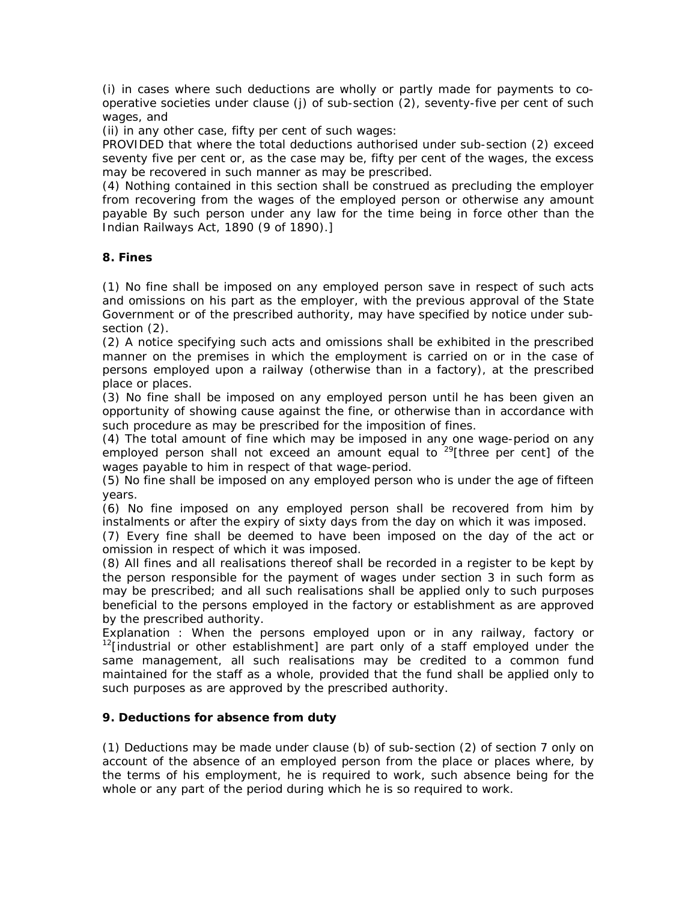(i) in cases where such deductions are wholly or partly made for payments to cooperative societies under clause (j) of sub-section (2), seventy-five per cent of such wages, and

(ii) in any other case, fifty per cent of such wages:

PROVIDED that where the total deductions authorised under sub-section (2) exceed seventy five per cent or, as the case may be, fifty per cent of the wages, the excess may be recovered in such manner as may be prescribed.

(4) Nothing contained in this section shall be construed as precluding the employer from recovering from the wages of the employed person or otherwise any amount payable By such person under any law for the time being in force other than the Indian Railways Act, 1890 (9 of 1890).]

### **8. Fines**

(1) No fine shall be imposed on any employed person save in respect of such acts and omissions on his part as the employer, with the previous approval of the State Government or of the prescribed authority, may have specified by notice under subsection (2).

(2) A notice specifying such acts and omissions shall be exhibited in the prescribed manner on the premises in which the employment is carried on or in the case of persons employed upon a railway (otherwise than in a factory), at the prescribed place or places.

(3) No fine shall be imposed on any employed person until he has been given an opportunity of showing cause against the fine, or otherwise than in accordance with such procedure as may be prescribed for the imposition of fines.

(4) The total amount of fine which may be imposed in any one wage-period on any employed person shall not exceed an amount equal to  $29$ <sup>[three per cent] of the</sup> wages payable to him in respect of that wage-period.

(5) No fine shall be imposed on any employed person who is under the age of fifteen years.

(6) No fine imposed on any employed person shall be recovered from him by instalments or after the expiry of sixty days from the day on which it was imposed. (7) Every fine shall be deemed to have been imposed on the day of the act or omission in respect of which it was imposed.

(8) All fines and all realisations thereof shall be recorded in a register to be kept by the person responsible for the payment of wages under section 3 in such form as may be prescribed; and all such realisations shall be applied only to such purposes beneficial to the persons employed in the factory or establishment as are approved by the prescribed authority.

*Explanation :* When the persons employed upon or in any railway, factory or  $12$ [industrial or other establishment] are part only of a staff employed under the same management, all such realisations may be credited to a common fund maintained for the staff as a whole, provided that the fund shall be applied only to such purposes as are approved by the prescribed authority.

#### **9. Deductions for absence from duty**

(1) Deductions may be made under clause (b) of sub-section (2) of section 7 only on account of the absence of an employed person from the place or places where, by the terms of his employment, he is required to work, such absence being for the whole or any part of the period during which he is so required to work.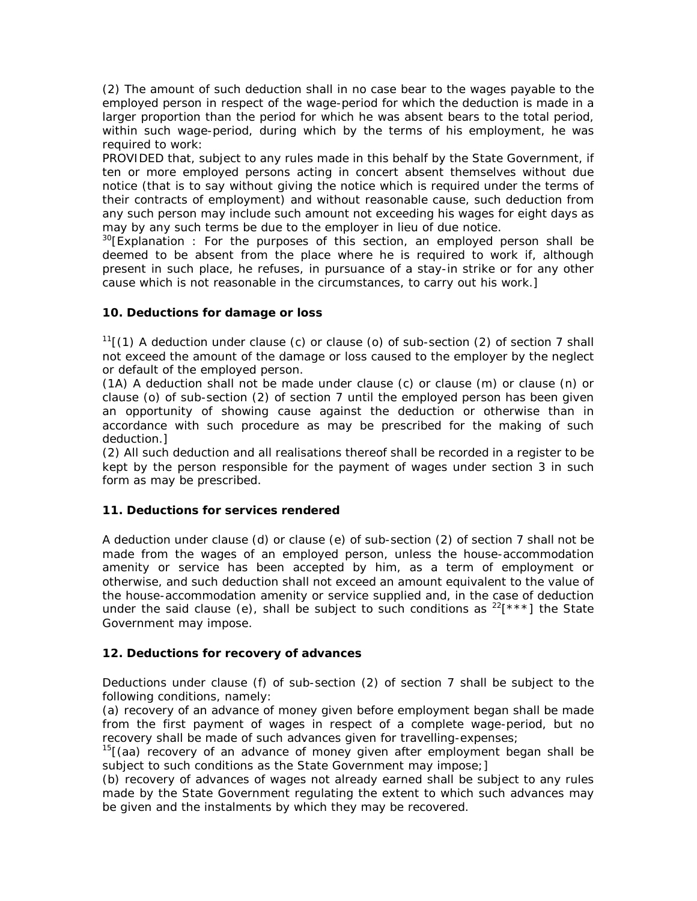(2) The amount of such deduction shall in no case bear to the wages payable to the employed person in respect of the wage-period for which the deduction is made in a larger proportion than the period for which he was absent bears to the total period, within such wage-period, during which by the terms of his employment, he was required to work:

PROVIDED that, subject to any rules made in this behalf by the State Government, if ten or more employed persons acting in concert absent themselves without due notice (that is to say without giving the notice which is required under the terms of their contracts of employment) and without reasonable cause, such deduction from any such person may include such amount not exceeding his wages for eight days as may by any such terms be due to the employer in lieu of due notice.

<sup>30</sup>[Explanation : For the purposes of this section, an employed person shall be deemed to be absent from the place where he is required to work if, although present in such place, he refuses, in pursuance of a stay-in strike or for any other cause which is not reasonable in the circumstances, to carry out his work.]

# **10. Deductions for damage or loss**

 $11$ [(1) A deduction under clause (c) or clause (o) of sub-section (2) of section 7 shall not exceed the amount of the damage or loss caused to the employer by the neglect or default of the employed person.

(1A) A deduction shall not be made under clause (c) or clause (m) or clause (n) or clause (o) of sub-section (2) of section 7 until the employed person has been given an opportunity of showing cause against the deduction or otherwise than in accordance with such procedure as may be prescribed for the making of such deduction.]

(2) All such deduction and all realisations thereof shall be recorded in a register to be kept by the person responsible for the payment of wages under section 3 in such form as may be prescribed.

# **11. Deductions for services rendered**

A deduction under clause (d) or clause (e) of sub-section (2) of section 7 shall not be made from the wages of an employed person, unless the house-accommodation amenity or service has been accepted by him, as a term of employment or otherwise, and such deduction shall not exceed an amount equivalent to the value of the house-accommodation amenity or service supplied and, in the case of deduction under the said clause (e), shall be subject to such conditions as  $^{22}[***]$  the State Government may impose.

# **12. Deductions for recovery of advances**

Deductions under clause (f) of sub-section (2) of section 7 shall be subject to the following conditions, namely:

(a) recovery of an advance of money given before employment began shall be made from the first payment of wages in respect of a complete wage-period, but no recovery shall be made of such advances given for travelling-expenses;

 $15$ [(aa) recovery of an advance of money given after employment began shall be subject to such conditions as the State Government may impose; ]

(b) recovery of advances of wages not already earned shall be subject to any rules made by the State Government regulating the extent to which such advances may be given and the instalments by which they may be recovered.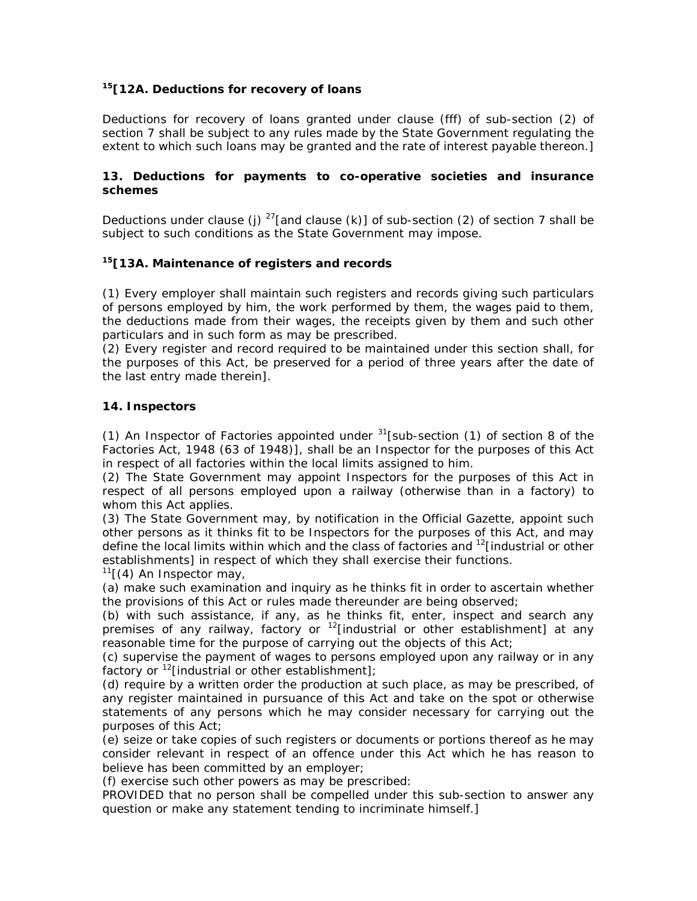# **<sup>15</sup>[12A. Deductions for recovery of loans**

Deductions for recovery of loans granted under clause (fff) of sub-section (2) of section 7 shall be subject to any rules made by the State Government regulating the extent to which such loans may be granted and the rate of interest payable thereon.]

#### **13. Deductions for payments to co-operative societies and insurance schemes**

Deductions under clause (j)  $^{27}$ [and clause (k)] of sub-section (2) of section 7 shall be subject to such conditions as the State Government may impose.

#### **<sup>15</sup>[13A. Maintenance of registers and records**

(1) Every employer shall maintain such registers and records giving such particulars of persons employed by him, the work performed by them, the wages paid to them, the deductions made from their wages, the receipts given by them and such other particulars and in such form as may be prescribed.

(2) Every register and record required to be maintained under this section shall, for the purposes of this Act, be preserved for a period of three years after the date of the last entry made therein].

#### **14. Inspectors**

(1) An Inspector of Factories appointed under  $31$ [sub-section (1) of section 8 of the Factories Act, 1948 (63 of 1948)], shall be an Inspector for the purposes of this Act in respect of all factories within the local limits assigned to him.

(2) The State Government may appoint Inspectors for the purposes of this Act in respect of all persons employed upon a railway (otherwise than in a factory) to whom this Act applies.

(3) The State Government may, by notification in the Official Gazette, appoint such other persons as it thinks fit to be Inspectors for the purposes of this Act, and may define the local limits within which and the class of factories and <sup>12</sup>[industrial or other establishments] in respect of which they shall exercise their functions.

 $11$ [(4) An Inspector may,

(a) make such examination and inquiry as he thinks fit in order to ascertain whether the provisions of this Act or rules made thereunder are being observed;

(b) with such assistance, if any, as he thinks fit, enter, inspect and search any premises of any railway, factory or  $12$ [industrial or other establishment] at any reasonable time for the purpose of carrying out the objects of this Act;

(c) supervise the payment of wages to persons employed upon any railway or in any factory or  $12$ [industrial or other establishment];

(d) require by a written order the production at such place, as may be prescribed, of any register maintained in pursuance of this Act and take on the spot or otherwise statements of any persons which he may consider necessary for carrying out the purposes of this Act;

(e) seize or take copies of such registers or documents or portions thereof as he may consider relevant in respect of an offence under this Act which he has reason to believe has been committed by an employer;

(f) exercise such other powers as may be prescribed:

PROVIDED that no person shall be compelled under this sub-section to answer any question or make any statement tending to incriminate himself.]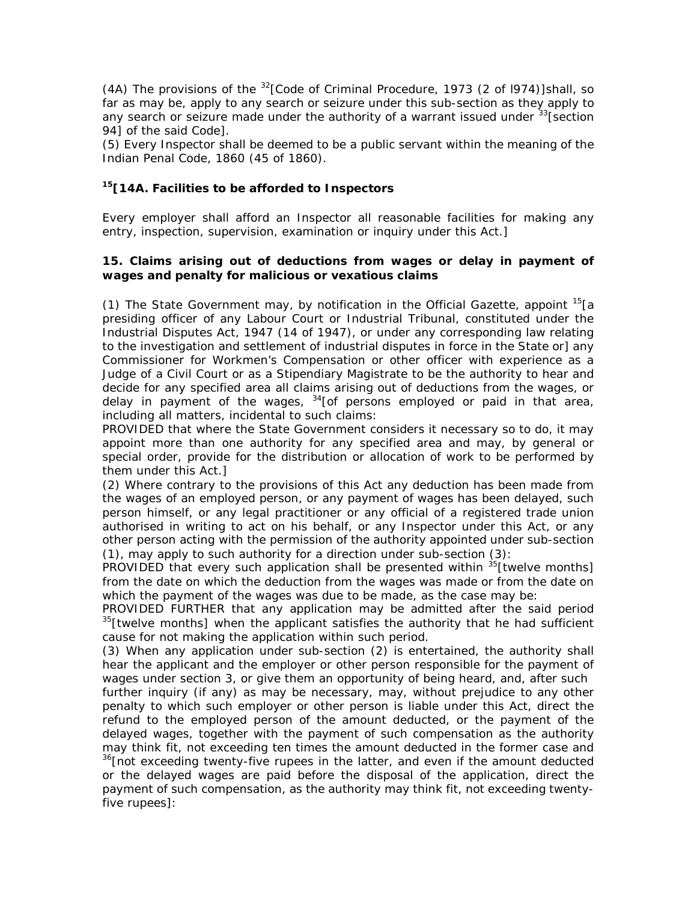(4A) The provisions of the  $32$ [Code of Criminal Procedure, 1973 (2 of 1974)]shall, so far as may be, apply to any search or seizure under this sub-section as they apply to any search or seizure made under the authority of a warrant issued under  $\frac{33}{3}$ [section 94] of the said Code].

(5) Every Inspector shall be deemed to be a public servant within the meaning of the Indian Penal Code, 1860 (45 of 1860).

### **<sup>15</sup>[14A. Facilities to be afforded to Inspectors**

Every employer shall afford an Inspector all reasonable facilities for making any entry, inspection, supervision, examination or inquiry under this Act.]

#### **15. Claims arising out of deductions from wages or delay in payment of wages and penalty for malicious or vexatious claims**

(1) The State Government may, by notification in the Official Gazette, appoint  $^{15}[a]$ presiding officer of any Labour Court or Industrial Tribunal, constituted under the Industrial Disputes Act, 1947 (14 of 1947), or under any corresponding law relating to the investigation and settlement of industrial disputes in force in the State or] any Commissioner for Workmen's Compensation or other officer with experience as a Judge of a Civil Court or as a Stipendiary Magistrate to be the authority to hear and decide for any specified area all claims arising out of deductions from the wages, or delay in payment of the wages,  $34$  [of persons employed or paid in that area, including all matters, incidental to such claims:

PROVIDED that where the State Government considers it necessary so to do, it may appoint more than one authority for any specified area and may, by general or special order, provide for the distribution or allocation of work to be performed by them under this Act.]

(2) Where contrary to the provisions of this Act any deduction has been made from the wages of an employed person, or any payment of wages has been delayed, such person himself, or any legal practitioner or any official of a registered trade union authorised in writing to act on his behalf, or any Inspector under this Act, or any other person acting with the permission of the authority appointed under sub-section (1), may apply to such authority for a direction under sub-section (3):

PROVIDED that every such application shall be presented within  $35$ [twelve months] from the date on which the deduction from the wages was made or from the date on which the payment of the wages was due to be made, as the case may be:

PROVIDED FURTHER that any application may be admitted after the said period <sup>35</sup>[twelve months] when the applicant satisfies the authority that he had sufficient cause for not making the application within such period.

(3) When any application under sub-section (2) is entertained, the authority shall hear the applicant and the employer or other person responsible for the payment of wages under section 3, or give them an opportunity of being heard, and, after such further inquiry (if any) as may be necessary, may, without prejudice to any other penalty to which such employer or other person is liable under this Act, direct the refund to the employed person of the amount deducted, or the payment of the delayed wages, together with the payment of such compensation as the authority may think fit, not exceeding ten times the amount deducted in the former case and  $36$ [not exceeding twenty-five rupees in the latter, and even if the amount deducted or the delayed wages are paid before the disposal of the application, direct the payment of such compensation, as the authority may think fit, not exceeding twentyfive rupees]: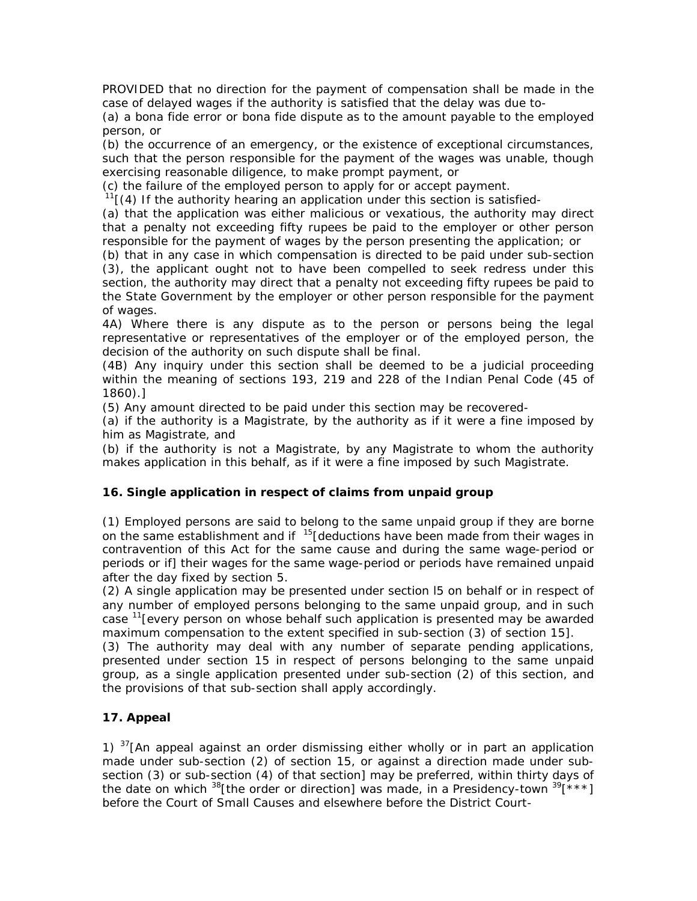PROVIDED that no direction for the payment of compensation shall be made in the case of delayed wages if the authority is satisfied that the delay was due to-

(a) a bona fide error or bona fide dispute as to the amount payable to the employed person, or

(b) the occurrence of an emergency, or the existence of exceptional circumstances, such that the person responsible for the payment of the wages was unable, though exercising reasonable diligence, to make prompt payment, or

(c) the failure of the employed person to apply for or accept payment.

 $11$ [(4) If the authority hearing an application under this section is satisfied-

(a) that the application was either malicious or vexatious, the authority may direct that a penalty not exceeding fifty rupees be paid to the employer or other person responsible for the payment of wages by the person presenting the application; or

(b) that in any case in which compensation is directed to be paid under sub-section (3), the applicant ought not to have been compelled to seek redress under this section, the authority may direct that a penalty not exceeding fifty rupees be paid to the State Government by the employer or other person responsible for the payment of wages.

4A) Where there is any dispute as to the person or persons being the legal representative or representatives of the employer or of the employed person, the decision of the authority on such dispute shall be final.

(4B) Any inquiry under this section shall be deemed to be a judicial proceeding within the meaning of sections 193, 219 and 228 of the Indian Penal Code (45 of 1860).]

(5) Any amount directed to be paid under this section may be recovered-

(a) if the authority is a Magistrate, by the authority as if it were a fine imposed by him as Magistrate, and

(b) if the authority is not a Magistrate, by any Magistrate to whom the authority makes application in this behalf, as if it were a fine imposed by such Magistrate.

#### **16. Single application in respect of claims from unpaid group**

(1) Employed persons are said to belong to the same unpaid group if they are borne on the same establishment and if  $15$ [deductions have been made from their wages in contravention of this Act for the same cause and during the same wage-period or periods or if] their wages for the same wage-period or periods have remained unpaid after the day fixed by section 5.

(2) A single application may be presented under section l5 on behalf or in respect of any number of employed persons belonging to the same unpaid group, and in such case  $11$ [every person on whose behalf such application is presented may be awarded maximum compensation to the extent specified in sub-section (3) of section 15].

(3) The authority may deal with any number of separate pending applications, presented under section 15 in respect of persons belonging to the same unpaid group, as a single application presented under sub-section (2) of this section, and the provisions of that sub-section shall apply accordingly.

#### **17. Appeal**

1)  $37$ [An appeal against an order dismissing either wholly or in part an application made under sub-section (2) of section 15, or against a direction made under subsection (3) or sub-section (4) of that section] may be preferred, within thirty days of the date on which <sup>38</sup>[the order or direction] was made, in a Presidency-town  $3^9$ [\*\*\*] before the Court of Small Causes and elsewhere before the District Court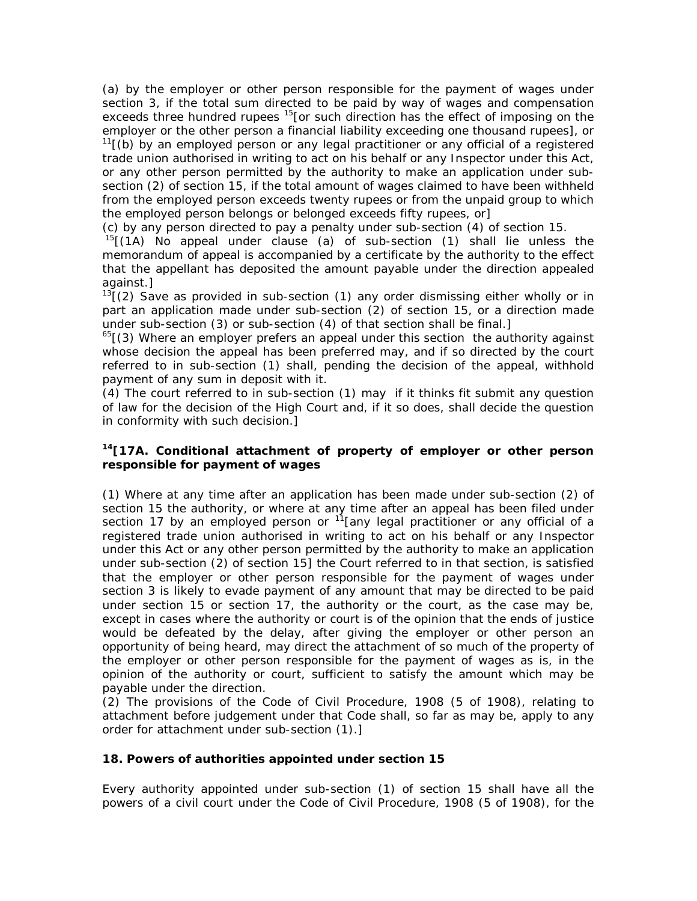(a) by the employer or other person responsible for the payment of wages under section 3, if the total sum directed to be paid by way of wages and compensation exceeds three hundred rupees  $15$  [or such direction has the effect of imposing on the employer or the other person a financial liability exceeding one thousand rupees], or  $11$ [(b) by an employed person or any legal practitioner or any official of a registered trade union authorised in writing to act on his behalf or any Inspector under this Act, or any other person permitted by the authority to make an application under subsection (2) of section 15, if the total amount of wages claimed to have been withheld from the employed person exceeds twenty rupees or from the unpaid group to which the employed person belongs or belonged exceeds fifty rupees, or]

(c) by any person directed to pay a penalty under sub-section (4) of section 15.

 $15$ [(1A) No appeal under clause (a) of sub-section (1) shall lie unless the memorandum of appeal is accompanied by a certificate by the authority to the effect that the appellant has deposited the amount payable under the direction appealed against.]

 $13$ [(2) Save as provided in sub-section (1) any order dismissing either wholly or in part an application made under sub-section (2) of section 15, or a direction made under sub-section (3) or sub-section (4) of that section shall be final.]

 $<sup>65</sup>$ [(3) Where an employer prefers an appeal under this section the authority against</sup> whose decision the appeal has been preferred may, and if so directed by the court referred to in sub-section (1) shall, pending the decision of the appeal, withhold payment of any sum in deposit with it.

(4) The court referred to in sub-section (1) may if it thinks fit submit any question of law for the decision of the High Court and, if it so does, shall decide the question in conformity with such decision.]

### **<sup>14</sup>[17A. Conditional attachment of property of employer or other person responsible for payment of wages**

(1) Where at any time after an application has been made under sub-section (2) of section 15 the authority, or where at any time after an appeal has been filed under section 17 by an employed person or  $11$ [any legal practitioner or any official of a registered trade union authorised in writing to act on his behalf or any Inspector under this Act or any other person permitted by the authority to make an application under sub-section (2) of section 15] the Court referred to in that section, is satisfied that the employer or other person responsible for the payment of wages under section 3 is likely to evade payment of any amount that may be directed to be paid under section 15 or section 17, the authority or the court, as the case may be, except in cases where the authority or court is of the opinion that the ends of justice would be defeated by the delay, after giving the employer or other person an opportunity of being heard, may direct the attachment of so much of the property of the employer or other person responsible for the payment of wages as is, in the opinion of the authority or court, sufficient to satisfy the amount which may be payable under the direction.

(2) The provisions of the Code of Civil Procedure, 1908 (5 of 1908), relating to attachment before judgement under that Code shall, so far as may be, apply to any order for attachment under sub-section (1).]

#### **18. Powers of authorities appointed under section 15**

Every authority appointed under sub-section (1) of section 15 shall have all the powers of a civil court under the Code of Civil Procedure, 1908 (5 of 1908), for the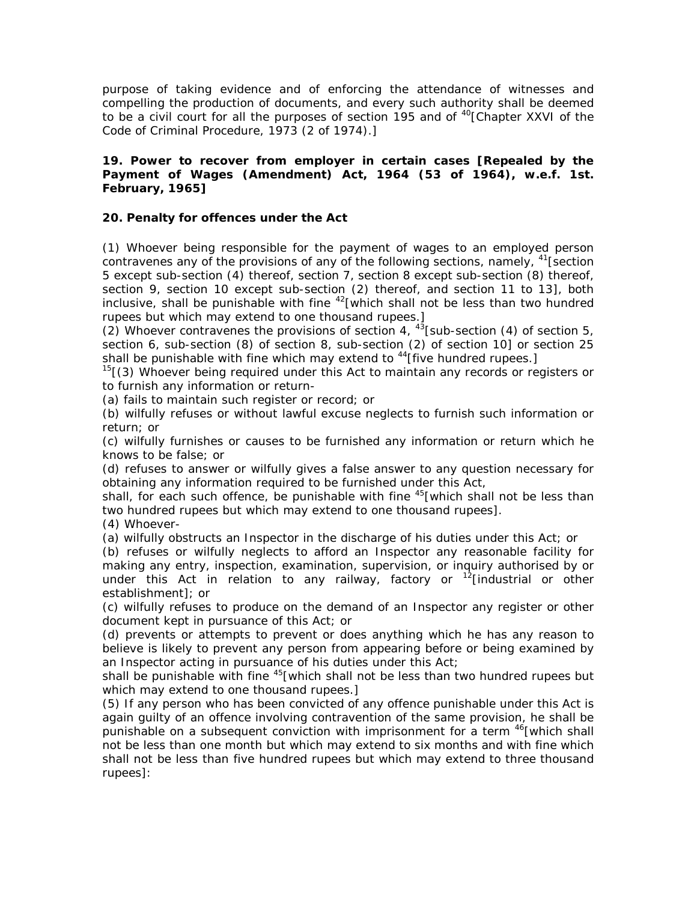purpose of taking evidence and of enforcing the attendance of witnesses and compelling the production of documents, and every such authority shall be deemed to be a civil court for all the purposes of section 195 and of  $^{40}$ [Chapter XXVI of the Code of Criminal Procedure, 1973 (2 of 1974).]

#### **19. Power to recover from employer in certain cases [Repealed by the Payment of Wages (Amendment) Act, 1964 (53 of 1964), w.e.f. 1st. February, 1965]**

### **20. Penalty for offences under the Act**

(1) Whoever being responsible for the payment of wages to an employed person contravenes any of the provisions of any of the following sections, namely,  $41$ [section] 5 except sub-section (4) thereof, section 7, section 8 except sub-section (8) thereof, section 9, section 10 except sub-section (2) thereof, and section 11 to 13], both inclusive, shall be punishable with fine  $^{42}$ [which shall not be less than two hundred rupees but which may extend to one thousand rupees.]

(2) Whoever contravenes the provisions of section 4,  $^{43}$ [sub-section (4) of section 5, section 6, sub-section (8) of section 8, sub-section (2) of section 10] or section 25 shall be punishable with fine which may extend to  $44$ [five hundred rupees.]

 $15$ [(3) Whoever being required under this Act to maintain any records or registers or to furnish any information or return-

(a) fails to maintain such register or record; or

(b) wilfully refuses or without lawful excuse neglects to furnish such information or return; or

(c) wilfully furnishes or causes to be furnished any information or return which he knows to be false; or

(d) refuses to answer or wilfully gives a false answer to any question necessary for obtaining any information required to be furnished under this Act,

shall, for each such offence, be punishable with fine  $45$ [which shall not be less than two hundred rupees but which may extend to one thousand rupees].

(4) Whoever-

(a) wilfully obstructs an Inspector in the discharge of his duties under this Act; or

(b) refuses or wilfully neglects to afford an Inspector any reasonable facility for making any entry, inspection, examination, supervision, or inquiry authorised by or under this Act in relation to any railway, factory or  $12$ [industrial or other establishment]; or

(c) wilfully refuses to produce on the demand of an Inspector any register or other document kept in pursuance of this Act; or

(d) prevents or attempts to prevent or does anything which he has any reason to believe is likely to prevent any person from appearing before or being examined by an Inspector acting in pursuance of his duties under this Act;

shall be punishable with fine  $45$ [which shall not be less than two hundred rupees but which may extend to one thousand rupees.

(5) If any person who has been convicted of any offence punishable under this Act is again guilty of an offence involving contravention of the same provision, he shall be punishable on a subsequent conviction with imprisonment for a term <sup>46</sup>[which shall not be less than one month but which may extend to six months and with fine which shall not be less than five hundred rupees but which may extend to three thousand rupees]: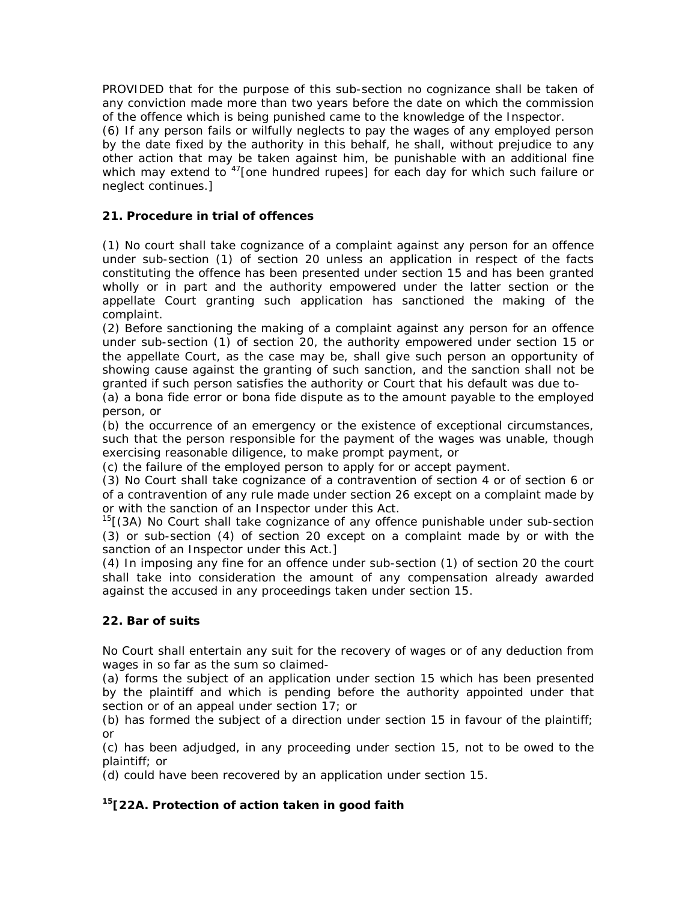PROVIDED that for the purpose of this sub-section no cognizance shall be taken of any conviction made more than two years before the date on which the commission of the offence which is being punished came to the knowledge of the Inspector.

(6) If any person fails or wilfully neglects to pay the wages of any employed person by the date fixed by the authority in this behalf, he shall, without prejudice to any other action that may be taken against him, be punishable with an additional fine which may extend to  $47$ [one hundred rupees] for each day for which such failure or neglect continues.]

# **21. Procedure in trial of offences**

(1) No court shall take cognizance of a complaint against any person for an offence under sub-section (1) of section 20 unless an application in respect of the facts constituting the offence has been presented under section 15 and has been granted wholly or in part and the authority empowered under the latter section or the appellate Court granting such application has sanctioned the making of the complaint.

(2) Before sanctioning the making of a complaint against any person for an offence under sub-section (1) of section 20, the authority empowered under section 15 or the appellate Court, as the case may be, shall give such person an opportunity of showing cause against the granting of such sanction, and the sanction shall not be granted if such person satisfies the authority or Court that his default was due to-

(a) a bona fide error or bona fide dispute as to the amount payable to the employed person, or

(b) the occurrence of an emergency or the existence of exceptional circumstances, such that the person responsible for the payment of the wages was unable, though exercising reasonable diligence, to make prompt payment, or

(c) the failure of the employed person to apply for or accept payment.

(3) No Court shall take cognizance of a contravention of section 4 or of section 6 or of a contravention of any rule made under section 26 except on a complaint made by or with the sanction of an Inspector under this Act.

 $15$ [(3A) No Court shall take cognizance of any offence punishable under sub-section (3) or sub-section (4) of section 20 except on a complaint made by or with the sanction of an Inspector under this Act.]

(4) In imposing any fine for an offence under sub-section (1) of section 20 the court shall take into consideration the amount of any compensation already awarded against the accused in any proceedings taken under section 15.

# **22. Bar of suits**

No Court shall entertain any suit for the recovery of wages or of any deduction from wages in so far as the sum so claimed-

(a) forms the subject of an application under section 15 which has been presented by the plaintiff and which is pending before the authority appointed under that section or of an appeal under section 17; or

(b) has formed the subject of a direction under section 15 in favour of the plaintiff; or

(c) has been adjudged, in any proceeding under section 15, not to be owed to the plaintiff; or

(d) could have been recovered by an application under section 15.

# **<sup>15</sup>[22A. Protection of action taken in good faith**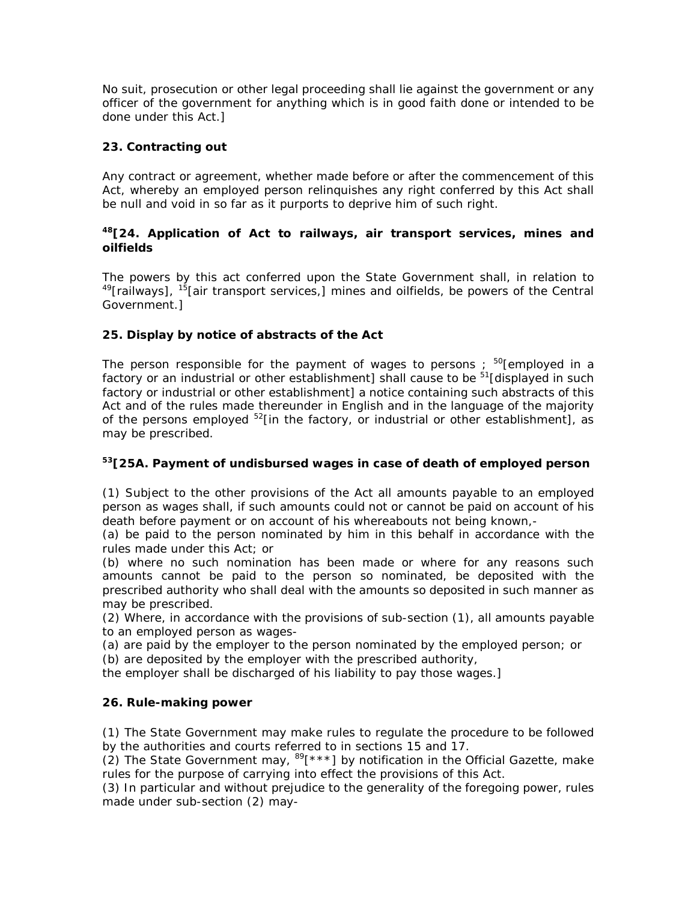No suit, prosecution or other legal proceeding shall lie against the government or any officer of the government for anything which is in good faith done or intended to be done under this Act.]

# **23. Contracting out**

Any contract or agreement, whether made before or after the commencement of this Act, whereby an employed person relinquishes any right conferred by this Act shall be null and void in so far as it purports to deprive him of such right.

### **<sup>48</sup>[24. Application of Act to railways, air transport services, mines and oilfields**

The powers by this act conferred upon the State Government shall, in relation to  $^{49}$ [railways],  $^{15}$ [air transport services,] mines and oilfields, be powers of the Central Government.]

# **25. Display by notice of abstracts of the Act**

The person responsible for the payment of wages to persons ;  $50$  [employed in a factory or an industrial or other establishment] shall cause to be  $51$ [displayed in such factory or industrial or other establishment] a notice containing such abstracts of this Act and of the rules made thereunder in English and in the language of the majority of the persons employed  $^{52}$ [in the factory, or industrial or other establishment], as may be prescribed.

# **<sup>53</sup>[25A. Payment of undisbursed wages in case of death of employed person**

(1) Subject to the other provisions of the Act all amounts payable to an employed person as wages shall, if such amounts could not or cannot be paid on account of his death before payment or on account of his whereabouts not being known,-

(a) be paid to the person nominated by him in this behalf in accordance with the rules made under this Act; or

(b) where no such nomination has been made or where for any reasons such amounts cannot be paid to the person so nominated, be deposited with the prescribed authority who shall deal with the amounts so deposited in such manner as may be prescribed.

(2) Where, in accordance with the provisions of sub-section (1), all amounts payable to an employed person as wages-

(a) are paid by the employer to the person nominated by the employed person; or

(b) are deposited by the employer with the prescribed authority,

the employer shall be discharged of his liability to pay those wages.]

# **26. Rule-making power**

(1) The State Government may make rules to regulate the procedure to be followed by the authorities and courts referred to in sections 15 and 17.

(2) The State Government may,  ${}^{89}$ [\*\*\*] by notification in the Official Gazette, make rules for the purpose of carrying into effect the provisions of this Act.

(3) In particular and without prejudice to the generality of the foregoing power, rules made under sub-section (2) may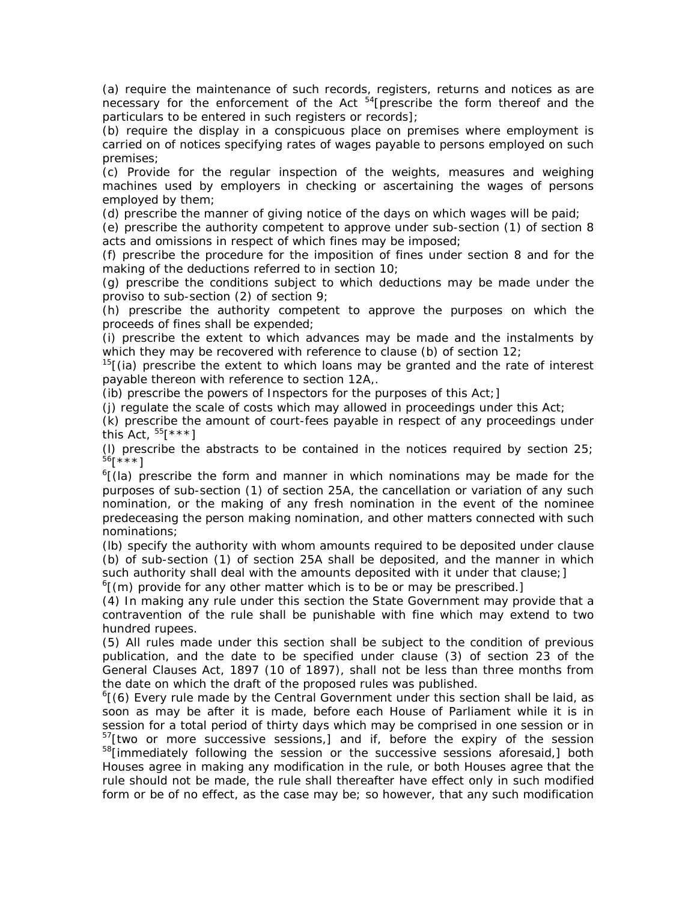(a) require the maintenance of such records, registers, returns and notices as are necessary for the enforcement of the Act  $54$ [prescribe the form thereof and the particulars to be entered in such registers or records];

(b) require the display in a conspicuous place on premises where employment is carried on of notices specifying rates of wages payable to persons employed on such premises;

(c) Provide for the regular inspection of the weights, measures and weighing machines used by employers in checking or ascertaining the wages of persons employed by them;

(d) prescribe the manner of giving notice of the days on which wages will be paid;

(e) prescribe the authority competent to approve under sub-section (1) of section 8 acts and omissions in respect of which fines may be imposed;

(f) prescribe the procedure for the imposition of fines under section 8 and for the making of the deductions referred to in section 10;

(g) prescribe the conditions subject to which deductions may be made under the proviso to sub-section (2) of section 9;

(h) prescribe the authority competent to approve the purposes on which the proceeds of fines shall be expended;

(i) prescribe the extent to which advances may be made and the instalments by which they may be recovered with reference to clause (b) of section 12;

 $15$ [(ia) prescribe the extent to which loans may be granted and the rate of interest payable thereon with reference to section 12A,.

(ib) prescribe the powers of Inspectors for the purposes of this Act;]

(j) regulate the scale of costs which may allowed in proceedings under this Act;

(k) prescribe the amount of court-fees payable in respect of any proceedings under this Act,  $55$ [\*\*\*]

(l) prescribe the abstracts to be contained in the notices required by section 25;  $56$ [\*\*\*]

 $<sup>6</sup>$ [(la) prescribe the form and manner in which nominations may be made for the</sup> purposes of sub-section (1) of section 25A, the cancellation or variation of any such nomination, or the making of any fresh nomination in the event of the nominee predeceasing the person making nomination, and other matters connected with such nominations;

(lb) specify the authority with whom amounts required to be deposited under clause (b) of sub-section (1) of section 25A shall be deposited, and the manner in which such authority shall deal with the amounts deposited with it under that clause; ]

 $\rm^{6}$ [(m) provide for any other matter which is to be or may be prescribed.]

(4) In making any rule under this section the State Government may provide that a contravention of the rule shall be punishable with fine which may extend to two hundred rupees.

(5) All rules made under this section shall be subject to the condition of previous publication, and the date to be specified under clause (3) of section 23 of the General Clauses Act, 1897 (10 of 1897), shall not be less than three months from the date on which the draft of the proposed rules was published.

 $<sup>6</sup>$ [(6) Every rule made by the Central Government under this section shall be laid, as</sup> soon as may be after it is made, before each House of Parliament while it is in session for a total period of thirty days which may be comprised in one session or in <sup>57</sup>[two or more successive sessions,] and if, before the expiry of the session <sup>58</sup>[immediately following the session or the successive sessions aforesaid,] both Houses agree in making any modification in the rule, or both Houses agree that the rule should not be made, the rule shall thereafter have effect only in such modified form or be of no effect, as the case may be; so however, that any such modification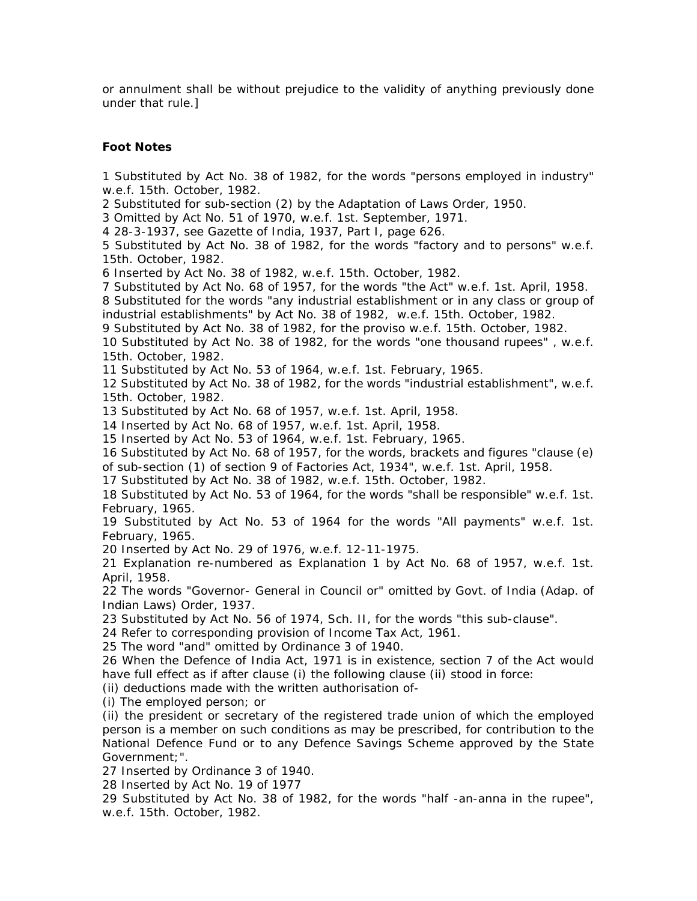or annulment shall be without prejudice to the validity of anything previously done under that rule.]

#### **Foot Notes**

1 Substituted by Act No. 38 of 1982, for the words "persons employed in industry" w.e.f. 15th. October, 1982.

2 Substituted for sub-section (2) by the Adaptation of Laws Order, 1950.

3 Omitted by Act No. 51 of 1970, w.e.f. 1st. September, 1971.

4 28-3-1937, see Gazette of India, 1937, Part I, page 626.

5 Substituted by Act No. 38 of 1982, for the words "factory and to persons" w.e.f. 15th. October, 1982.

6 Inserted by Act No. 38 of 1982, w.e.f. 15th. October, 1982.

7 Substituted by Act No. 68 of 1957, for the words "the Act" w.e.f. 1st. April, 1958.

8 Substituted for the words "any industrial establishment or in any class or group of industrial establishments" by Act No. 38 of 1982, w.e.f. 15th. October, 1982.

9 Substituted by Act No. 38 of 1982, for the proviso w.e.f. 15th. October, 1982.

10 Substituted by Act No. 38 of 1982, for the words "one thousand rupees" , w.e.f. 15th. October, 1982.

11 Substituted by Act No. 53 of 1964, w.e.f. 1st. February, 1965.

12 Substituted by Act No. 38 of 1982, for the words "industrial establishment", w.e.f. 15th. October, 1982.

13 Substituted by Act No. 68 of 1957, w.e.f. 1st. April, 1958.

14 Inserted by Act No. 68 of 1957, w.e.f. 1st. April, 1958.

15 Inserted by Act No. 53 of 1964, w.e.f. 1st. February, 1965.

16 Substituted by Act No. 68 of 1957, for the words, brackets and figures "clause (e)

of sub-section (1) of section 9 of Factories Act, 1934", w.e.f. 1st. April, 1958.

17 Substituted by Act No. 38 of 1982, w.e.f. 15th. October, 1982.

18 Substituted by Act No. 53 of 1964, for the words "shall be responsible" w.e.f. 1st. February, 1965.

19 Substituted by Act No. 53 of 1964 for the words "All payments" w.e.f. 1st. February, 1965.

20 Inserted by Act No. 29 of 1976, w.e.f. 12-11-1975.

21 Explanation re-numbered as Explanation 1 by Act No. 68 of 1957, w.e.f. 1st. April, 1958.

22 The words "Governor- General in Council or" omitted by Govt. of India (Adap. of Indian Laws) Order, 1937.

23 Substituted by Act No. 56 of 1974, Sch. II, for the words "this sub-clause".

24 Refer to corresponding provision of Income Tax Act, 1961.

25 The word "and" omitted by Ordinance 3 of 1940.

26 When the Defence of India Act, 1971 is in existence, section 7 of the Act would have full effect as if after clause (i) the following clause (ii) stood in force:

(ii) deductions made with the written authorisation of-

(i) The employed person; or

(ii) the president or secretary of the registered trade union of which the employed person is a member on such conditions as may be prescribed, for contribution to the National Defence Fund or to any Defence Savings Scheme approved by the State Government;".

27 Inserted by Ordinance 3 of 1940.

28 Inserted by Act No. 19 of 1977

29 Substituted by Act No. 38 of 1982, for the words "half -an-anna in the rupee", w.e.f. 15th. October, 1982.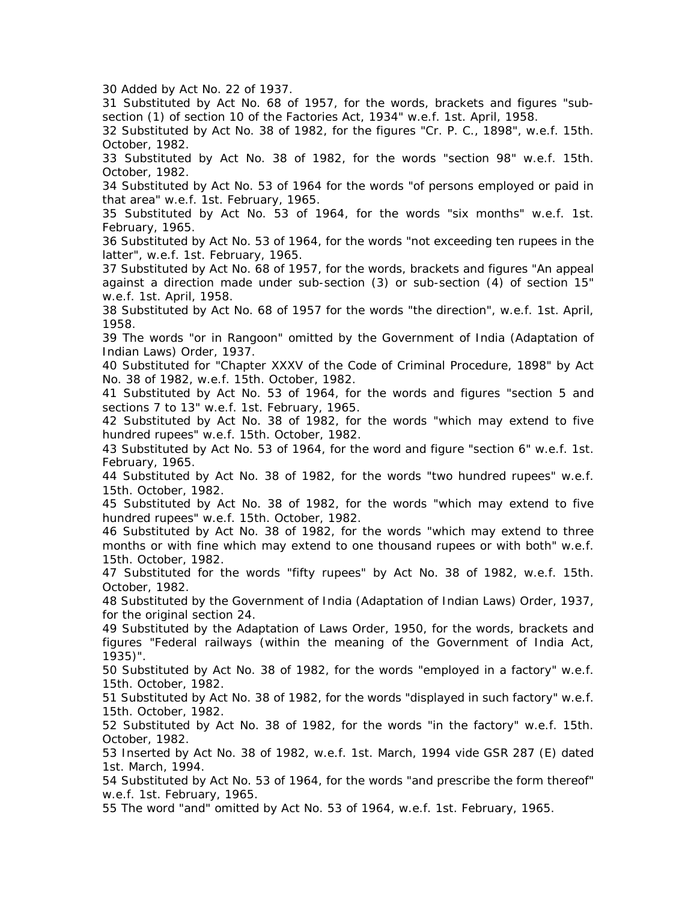30 Added by Act No. 22 of 1937.

31 Substituted by Act No. 68 of 1957, for the words, brackets and figures "subsection (1) of section 10 of the Factories Act, 1934" w.e.f. 1st. April, 1958.

32 Substituted by Act No. 38 of 1982, for the figures "Cr. P. C., 1898", w.e.f. 15th. October, 1982.

33 Substituted by Act No. 38 of 1982, for the words "section 98" w.e.f. 15th. October, 1982.

34 Substituted by Act No. 53 of 1964 for the words "of persons employed or paid in that area" w.e.f. 1st. February, 1965.

35 Substituted by Act No. 53 of 1964, for the words "six months" w.e.f. 1st. February, 1965.

36 Substituted by Act No. 53 of 1964, for the words "not exceeding ten rupees in the latter", w.e.f. 1st. February, 1965.

37 Substituted by Act No. 68 of 1957, for the words, brackets and figures "An appeal against a direction made under sub-section (3) or sub-section (4) of section 15" w.e.f. 1st. April, 1958.

38 Substituted by Act No. 68 of 1957 for the words "the direction", w.e.f. 1st. April, 1958.

39 The words "or in Rangoon" omitted by the Government of India (Adaptation of Indian Laws) Order, 1937.

40 Substituted for "Chapter XXXV of the Code of Criminal Procedure, 1898" by Act No. 38 of 1982, w.e.f. 15th. October, 1982.

41 Substituted by Act No. 53 of 1964, for the words and figures "section 5 and sections 7 to 13" w.e.f. 1st. February, 1965.

42 Substituted by Act No. 38 of 1982, for the words "which may extend to five hundred rupees" w.e.f. 15th. October, 1982.

43 Substituted by Act No. 53 of 1964, for the word and figure "section 6" w.e.f. 1st. February, 1965.

44 Substituted by Act No. 38 of 1982, for the words "two hundred rupees" w.e.f. 15th. October, 1982.

45 Substituted by Act No. 38 of 1982, for the words "which may extend to five hundred rupees" w.e.f. 15th. October, 1982.

46 Substituted by Act No. 38 of 1982, for the words "which may extend to three months or with fine which may extend to one thousand rupees or with both" w.e.f. 15th. October, 1982.

47 Substituted for the words "fifty rupees" by Act No. 38 of 1982, w.e.f. 15th. October, 1982.

48 Substituted by the Government of India (Adaptation of Indian Laws) Order, 1937, for the original section 24.

49 Substituted by the Adaptation of Laws Order, 1950, for the words, brackets and figures "Federal railways (within the meaning of the Government of India Act, 1935)".

50 Substituted by Act No. 38 of 1982, for the words "employed in a factory" w.e.f. 15th. October, 1982.

51 Substituted by Act No. 38 of 1982, for the words "displayed in such factory" w.e.f. 15th. October, 1982.

52 Substituted by Act No. 38 of 1982, for the words "in the factory" w.e.f. 15th. October, 1982.

53 Inserted by Act No. 38 of 1982, w.e.f. 1st. March, 1994 vide GSR 287 (E) dated 1st. March, 1994.

54 Substituted by Act No. 53 of 1964, for the words "and prescribe the form thereof" w.e.f. 1st. February, 1965.

55 The word "and" omitted by Act No. 53 of 1964, w.e.f. 1st. February, 1965.